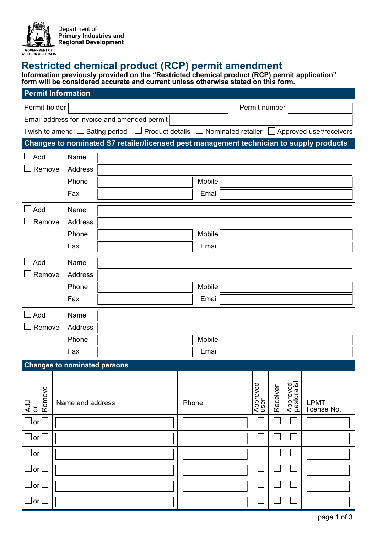

## **Restricted chemical product (RCP) permit amendment**

**Information previously provided on the "Restricted chemical product (RCP) permit application" form will be considered accurate and current unless otherwise stated on this form.**

| <b>Permit Information</b>                                                                                             |                            |  |  |       |        |  |                  |          |                         |                            |
|-----------------------------------------------------------------------------------------------------------------------|----------------------------|--|--|-------|--------|--|------------------|----------|-------------------------|----------------------------|
| Permit holder                                                                                                         |                            |  |  |       |        |  | Permit number    |          |                         |                            |
| Email address for invoice and amended permit                                                                          |                            |  |  |       |        |  |                  |          |                         |                            |
| I wish to amend: $\Box$ Bating period $\Box$ Product details $\Box$ Nominated retailer $\Box$ Approved user/receivers |                            |  |  |       |        |  |                  |          |                         |                            |
| Changes to nominated S7 retailer/licensed pest management technician to supply products                               |                            |  |  |       |        |  |                  |          |                         |                            |
| $\Box$ Add                                                                                                            | Name                       |  |  |       |        |  |                  |          |                         |                            |
| Remove                                                                                                                | Address                    |  |  |       |        |  |                  |          |                         |                            |
|                                                                                                                       | Phone                      |  |  |       | Mobile |  |                  |          |                         |                            |
|                                                                                                                       | Fax                        |  |  |       | Email  |  |                  |          |                         |                            |
| Add                                                                                                                   | Name                       |  |  |       |        |  |                  |          |                         |                            |
| Remove                                                                                                                | Address                    |  |  |       |        |  |                  |          |                         |                            |
|                                                                                                                       | Phone                      |  |  |       | Mobile |  |                  |          |                         |                            |
|                                                                                                                       | Fax                        |  |  |       | Email  |  |                  |          |                         |                            |
| Add<br>Name                                                                                                           |                            |  |  |       |        |  |                  |          |                         |                            |
| Remove                                                                                                                | <b>Address</b>             |  |  |       |        |  |                  |          |                         |                            |
|                                                                                                                       | Phone                      |  |  |       | Mobile |  |                  |          |                         |                            |
|                                                                                                                       | Fax                        |  |  |       | Email  |  |                  |          |                         |                            |
| Add                                                                                                                   | Name                       |  |  |       |        |  |                  |          |                         |                            |
| Remove                                                                                                                | Address                    |  |  |       |        |  |                  |          |                         |                            |
|                                                                                                                       | Phone                      |  |  |       | Mobile |  |                  |          |                         |                            |
|                                                                                                                       | Fax                        |  |  |       | Email  |  |                  |          |                         |                            |
| <b>Changes to nominated persons</b>                                                                                   |                            |  |  |       |        |  |                  |          |                         |                            |
|                                                                                                                       |                            |  |  |       |        |  |                  |          |                         |                            |
|                                                                                                                       |                            |  |  |       |        |  |                  |          |                         |                            |
| Add<br>or                                                                                                             | Remove<br>Name and address |  |  | Phone |        |  | Approved<br>user | Receiver | Approved<br>pastoralist | <b>LPMT</b><br>license No. |
| or                                                                                                                    |                            |  |  |       |        |  |                  |          |                         |                            |
| $\mathsf{Jor}\,\mathsf{L}$                                                                                            |                            |  |  |       |        |  |                  |          |                         |                            |
|                                                                                                                       |                            |  |  |       |        |  |                  |          |                         |                            |
| lor                                                                                                                   |                            |  |  |       |        |  |                  |          |                         |                            |
| $ $ or $\mathsf l$                                                                                                    |                            |  |  |       |        |  |                  |          |                         |                            |
| or                                                                                                                    |                            |  |  |       |        |  |                  |          |                         |                            |
| <u>l</u> or l                                                                                                         |                            |  |  |       |        |  |                  |          |                         |                            |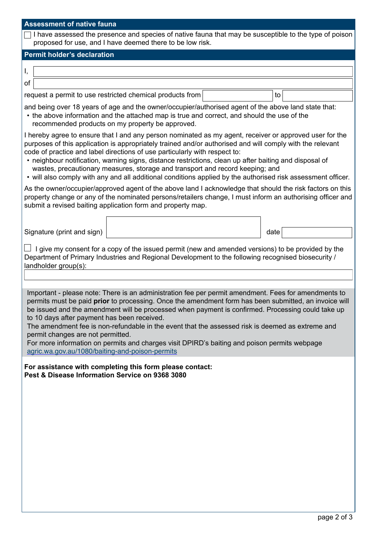| <b>Assessment of native fauna</b>                                                                                                                                                                                                                                                                                                                                                                                                                                                                                                                                                                                                                             |                                                           |      |  |  |  |  |  |
|---------------------------------------------------------------------------------------------------------------------------------------------------------------------------------------------------------------------------------------------------------------------------------------------------------------------------------------------------------------------------------------------------------------------------------------------------------------------------------------------------------------------------------------------------------------------------------------------------------------------------------------------------------------|-----------------------------------------------------------|------|--|--|--|--|--|
| I have assessed the presence and species of native fauna that may be susceptible to the type of poison<br>proposed for use, and I have deemed there to be low risk.                                                                                                                                                                                                                                                                                                                                                                                                                                                                                           |                                                           |      |  |  |  |  |  |
| <b>Permit holder's declaration</b>                                                                                                                                                                                                                                                                                                                                                                                                                                                                                                                                                                                                                            |                                                           |      |  |  |  |  |  |
| Ι,                                                                                                                                                                                                                                                                                                                                                                                                                                                                                                                                                                                                                                                            |                                                           |      |  |  |  |  |  |
| of                                                                                                                                                                                                                                                                                                                                                                                                                                                                                                                                                                                                                                                            |                                                           |      |  |  |  |  |  |
|                                                                                                                                                                                                                                                                                                                                                                                                                                                                                                                                                                                                                                                               | request a permit to use restricted chemical products from | to   |  |  |  |  |  |
| and being over 18 years of age and the owner/occupier/authorised agent of the above land state that:<br>• the above information and the attached map is true and correct, and should the use of the<br>recommended products on my property be approved.                                                                                                                                                                                                                                                                                                                                                                                                       |                                                           |      |  |  |  |  |  |
| I hereby agree to ensure that I and any person nominated as my agent, receiver or approved user for the<br>purposes of this application is appropriately trained and/or authorised and will comply with the relevant<br>code of practice and label directions of use particularly with respect to:<br>• neighbour notification, warning signs, distance restrictions, clean up after baiting and disposal of<br>wastes, precautionary measures, storage and transport and record keeping; and<br>. will also comply with any and all additional conditions applied by the authorised risk assessment officer.                                                 |                                                           |      |  |  |  |  |  |
| As the owner/occupier/approved agent of the above land I acknowledge that should the risk factors on this<br>property change or any of the nominated persons/retailers change, I must inform an authorising officer and<br>submit a revised baiting application form and property map.                                                                                                                                                                                                                                                                                                                                                                        |                                                           |      |  |  |  |  |  |
| Signature (print and sign)                                                                                                                                                                                                                                                                                                                                                                                                                                                                                                                                                                                                                                    |                                                           | date |  |  |  |  |  |
| I give my consent for a copy of the issued permit (new and amended versions) to be provided by the<br>Department of Primary Industries and Regional Development to the following recognised biosecurity /<br>landholder group(s):                                                                                                                                                                                                                                                                                                                                                                                                                             |                                                           |      |  |  |  |  |  |
|                                                                                                                                                                                                                                                                                                                                                                                                                                                                                                                                                                                                                                                               |                                                           |      |  |  |  |  |  |
| Important - please note: There is an administration fee per permit amendment. Fees for amendments to<br>permits must be paid prior to processing. Once the amendment form has been submitted, an invoice will<br>be issued and the amendment will be processed when payment is confirmed. Processing could take up<br>to 10 days after payment has been received.<br>The amendment fee is non-refundable in the event that the assessed risk is deemed as extreme and<br>permit changes are not permitted.<br>For more information on permits and charges visit DPIRD's baiting and poison permits webpage<br>agric.wa.gov.au/1080/baiting-and-poison-permits |                                                           |      |  |  |  |  |  |
| Pest & Disease Information Service on 9368 3080                                                                                                                                                                                                                                                                                                                                                                                                                                                                                                                                                                                                               | For assistance with completing this form please contact:  |      |  |  |  |  |  |